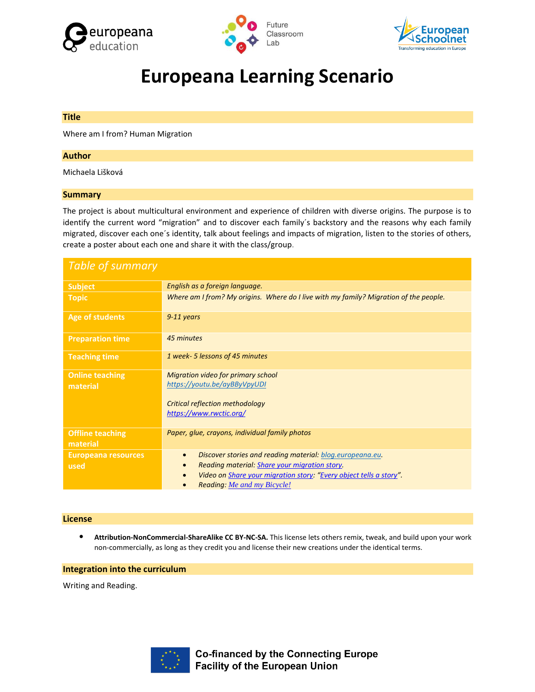





# **Europeana Learning Scenario**

#### **Title**

Where am I from? Human Migration

#### **Author**

Michaela Lišková

#### **Summary**

The project is about multicultural environment and experience of children with diverse origins. The purpose is to identify the current word "migration" and to discover each family´s backstory and the reasons why each family migrated, discover each one´s identity, talk about feelings and impacts of migration, listen to the stories of others, create a poster about each one and share it with the class/group.

| <b>Table of summary</b>             |                                                                                                                                                                                                                                     |
|-------------------------------------|-------------------------------------------------------------------------------------------------------------------------------------------------------------------------------------------------------------------------------------|
| <b>Subject</b>                      | English as a foreign language.                                                                                                                                                                                                      |
| <b>Topic</b>                        | Where am I from? My origins. Where do I live with my family? Migration of the people.                                                                                                                                               |
| <b>Age of students</b>              | $9-11$ years                                                                                                                                                                                                                        |
| <b>Preparation time</b>             | 45 minutes                                                                                                                                                                                                                          |
| <b>Teaching time</b>                | 1 week- 5 lessons of 45 minutes                                                                                                                                                                                                     |
| <b>Online teaching</b><br>material  | <b>Migration video for primary school</b><br>https://youtu.be/ayBByVpyUDI<br><b>Critical reflection methodology</b><br>https://www.rwctic.org/                                                                                      |
| <b>Offline teaching</b><br>material | Paper, glue, crayons, individual family photos                                                                                                                                                                                      |
| <b>Europeana resources</b><br>used  | Discover stories and reading material: blog.europeana.eu.<br>$\bullet$<br>Reading material: Share your migration story.<br>Video on Share your migration story: "Every object tells a story".<br><b>Reading: Me and my Bicycle!</b> |

#### **License**

• **Attribution-NonCommercial-ShareAlike CC BY-NC-SA.** This license lets others remix, tweak, and build upon your work non-commercially, as long as they credit you and license their new creations under the identical terms.

#### **Integration into the curriculum**

Writing and Reading.



**Co-financed by the Connecting Europe Facility of the European Union**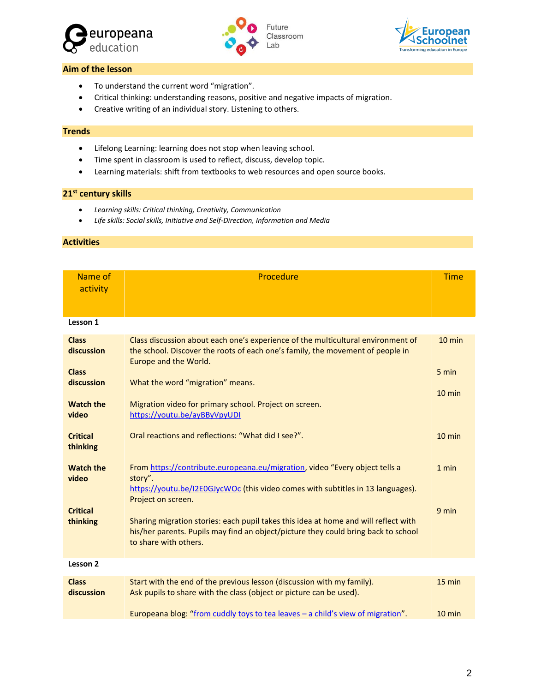





## **Aim of the lesson**

- To understand the current word "migration".
- Critical thinking: understanding reasons, positive and negative impacts of migration.
- Creative writing of an individual story. Listening to others.

#### **Trends**

- Lifelong Learning: learning does not stop when leaving school.
- Time spent in classroom is used to reflect, discuss, develop topic.
- Learning materials: shift from textbooks to web resources and open source books.

### **21st century skills**

- *Learning skills: Critical thinking, Creativity, Communication*
- *Life skills: Social skills, Initiative and Self-Direction, Information and Media*

#### **Activities**

| Name of<br>activity                                      | Procedure                                                                                                                                                                                                                       | <b>Time</b>       |
|----------------------------------------------------------|---------------------------------------------------------------------------------------------------------------------------------------------------------------------------------------------------------------------------------|-------------------|
| Lesson 1                                                 |                                                                                                                                                                                                                                 |                   |
| <b>Class</b><br>discussion<br><b>Class</b><br>discussion | Class discussion about each one's experience of the multicultural environment of<br>the school. Discover the roots of each one's family, the movement of people in<br>Europe and the World.<br>What the word "migration" means. | $10$ min<br>5 min |
| <b>Watch the</b><br>video                                | Migration video for primary school. Project on screen.<br>https://youtu.be/ayBByVpyUDI                                                                                                                                          | $10 \text{ min}$  |
| <b>Critical</b><br>thinking                              | Oral reactions and reflections: "What did I see?".                                                                                                                                                                              | $10$ min          |
| <b>Watch the</b><br>video                                | From https://contribute.europeana.eu/migration, video "Every object tells a<br>story".<br>https://youtu.be/I2E0GJycWOc (this video comes with subtitles in 13 languages).<br>Project on screen.                                 | 1 min             |
| <b>Critical</b><br>thinking                              | Sharing migration stories: each pupil takes this idea at home and will reflect with<br>his/her parents. Pupils may find an object/picture they could bring back to school<br>to share with others.                              | 9 min             |
| Lesson 2                                                 |                                                                                                                                                                                                                                 |                   |
| <b>Class</b><br>discussion                               | Start with the end of the previous lesson (discussion with my family).<br>Ask pupils to share with the class (object or picture can be used).                                                                                   | 15 min            |
|                                                          | Europeana blog: "from cuddly toys to tea leaves - a child's view of migration".                                                                                                                                                 | $10 \text{ min}$  |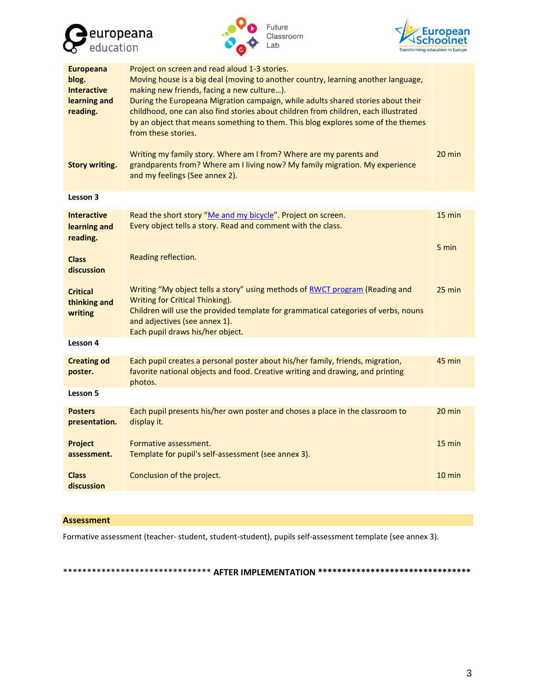





| <b>Europeana</b><br>blog.<br><b>Interactive</b><br>learning and<br>reading. | Project on screen and read aloud 1-3 stories.<br>Moving house is a big deal (moving to another country, learning another language,<br>making new friends, facing a new culture).<br>During the Europeana Migration campaign, while adults shared stories about their<br>childhood, one can also find stories about children from children, each illustrated<br>by an object that means something to them. This blog explores some of the themes<br>from these stories. |                  |  |
|-----------------------------------------------------------------------------|------------------------------------------------------------------------------------------------------------------------------------------------------------------------------------------------------------------------------------------------------------------------------------------------------------------------------------------------------------------------------------------------------------------------------------------------------------------------|------------------|--|
| <b>Story writing.</b>                                                       | Writing my family story. Where am I from? Where are my parents and<br>grandparents from? Where am I living now? My family migration. My experience<br>and my feelings (See annex 2).                                                                                                                                                                                                                                                                                   | 20 min           |  |
| Lesson 3                                                                    |                                                                                                                                                                                                                                                                                                                                                                                                                                                                        |                  |  |
| <b>Interactive</b><br>learning and<br>reading.                              | Read the short story "Me and my bicycle". Project on screen.<br>Every object tells a story. Read and comment with the class.                                                                                                                                                                                                                                                                                                                                           | $15 \text{ min}$ |  |
| <b>Class</b><br>discussion                                                  | Reading reflection.                                                                                                                                                                                                                                                                                                                                                                                                                                                    | 5 min            |  |
| <b>Critical</b><br>thinking and<br>writing                                  | Writing "My object tells a story" using methods of RWCT program (Reading and<br>Writing for Critical Thinking).<br>Children will use the provided template for grammatical categories of verbs, nouns<br>and adjectives (see annex 1).<br>Each pupil draws his/her object.                                                                                                                                                                                             | $25 \text{ min}$ |  |
| Lesson 4                                                                    |                                                                                                                                                                                                                                                                                                                                                                                                                                                                        |                  |  |
| <b>Creating od</b><br>poster.                                               | Each pupil creates a personal poster about his/her family, friends, migration,<br>favorite national objects and food. Creative writing and drawing, and printing<br>photos.                                                                                                                                                                                                                                                                                            | 45 min           |  |
| Lesson 5                                                                    |                                                                                                                                                                                                                                                                                                                                                                                                                                                                        |                  |  |
| <b>Posters</b><br>presentation.                                             | Each pupil presents his/her own poster and choses a place in the classroom to<br>display it.                                                                                                                                                                                                                                                                                                                                                                           | $20 \text{ min}$ |  |
| <b>Project</b><br>assessment.                                               | Formative assessment.<br>Template for pupil's self-assessment (see annex 3).                                                                                                                                                                                                                                                                                                                                                                                           | $15 \text{ min}$ |  |
| <b>Class</b><br>discussion                                                  | Conclusion of the project.                                                                                                                                                                                                                                                                                                                                                                                                                                             | $10 \text{ min}$ |  |

## **Assessment**

Formative assessment (teacher- student, student-student), pupils self-assessment template (see annex 3).

\*\*\*\*\*\*\*\*\*\*\*\*\*\*\*\*\*\*\*\*\*\*\*\*\*\*\*\*\*\*\* **AFTER IMPLEMENTATION \*\*\*\*\*\*\*\*\*\*\*\*\*\*\*\*\*\*\*\*\*\*\*\*\*\*\*\*\*\*\*\***